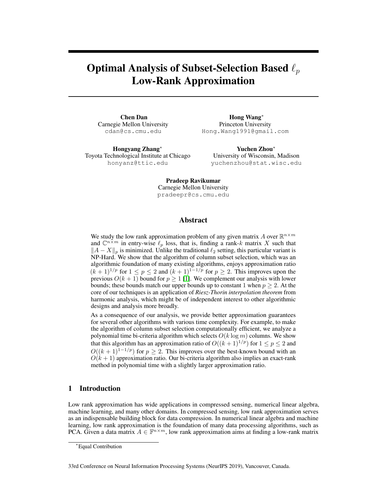# Optimal Analysis of Subset-Selection Based  $\ell_p$ Low-Rank Approximation

Chen Dan Carnegie Mellon University cdan@cs.cmu.edu

Hongyang Zhang<sup>∗</sup> Toyota Technological Institute at Chicago honyanz@ttic.edu

Hong Wang<sup>∗</sup> Princeton University Hong.Wang1991@gmail.com

Yuchen Zhou<sup>∗</sup> University of Wisconsin, Madison yuchenzhou@stat.wisc.edu

Pradeep Ravikumar Carnegie Mellon University pradeepr@cs.cmu.edu

## Abstract

We study the low rank approximation problem of any given matrix A over  $\mathbb{R}^{n \times m}$ and  $\mathbb{C}^{n \times m}$  in entry-wise  $\ell_p$  loss, that is, finding a rank-k matrix X such that  $||A - X||_p$  is minimized. Unlike the traditional  $\ell_2$  setting, this particular variant is NP-Hard. We show that the algorithm of column subset selection, which was an algorithmic foundation of many existing algorithms, enjoys approximation ratio  $(k + 1)^{1/p}$  for  $1 \le p \le 2$  and  $(k + 1)^{1-1/p}$  for  $p \ge 2$ . This improves upon the previous  $O(k + 1)$  bound for  $p \ge 1$  [1]. We complement our analysis with lower bounds; these bounds match our upper bounds up to constant 1 when  $p \ge 2$ . At the core of our techniques is an application of *Riesz-Thorin interpolation theorem* from harmonic analysis, which might be of independent interest to other algorithmic designs and analysis more broadly.

As a consequence of our analysis, we provide better approximation guarantees for several other algorithms with various time complexity. For example, to make the algorithm of column subset selection computationally efficient, we analyze a polynomial time bi-criteria algorithm which selects  $O(k \log m)$  columns. We show that this algorithm has an approximation ratio of  $O((k+1)^{1/p})$  for  $1 \le p \le 2$  and  $O((k+1)^{1-1/p})$  for  $p \ge 2$ . This improves over the best-known bound with an  $O(k + 1)$  approximation ratio. Our bi-criteria algorithm also implies an exact-rank method in polynomial time with a slightly larger approximation ratio.

## 1 Introduction

Low rank approximation has wide applications in compressed sensing, numerical linear algebra, machine learning, and many other domains. In compressed sensing, low rank approximation serves as an indispensable building block for data compression. In numerical linear algebra and machine learning, low rank approximation is the foundation of many data processing algorithms, such as PCA. Given a data matrix  $A \in \mathbb{F}^{n \times m}$ , low rank approximation aims at finding a low-rank matrix

33rd Conference on Neural Information Processing Systems (NeurIPS 2019), Vancouver, Canada.

<sup>∗</sup>Equal Contribution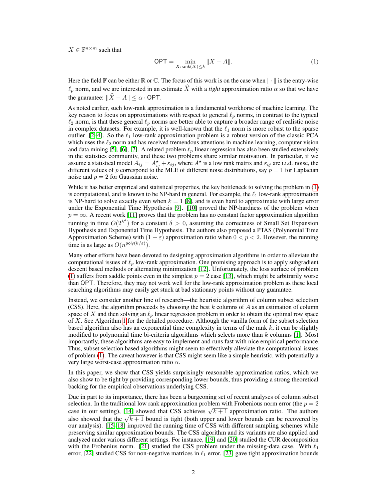$X \in \mathbb{F}^{n \times m}$  such that

$$
\text{OPT} = \min_{X:\text{rank}(X)\leq k} \|X - A\|.\tag{1}
$$

Here the field  $\mathbb F$  can be either  $\mathbb R$  or  $\mathbb C$ . The focus of this work is on the case when  $\|\cdot\|$  is the entry-wise  $\ell_p$  norm, and we are interested in an estimate X with a *tight* approximation ratio  $\alpha$  so that we have the guarantee:  $\|\widehat{X} - A\| \leq \alpha \cdot \text{OPT}$ .

As noted earlier, such low-rank approximation is a fundamental workhorse of machine learning. The key reason to focus on approximations with respect to general  $\ell_p$  norms, in contrast to the typical  $\ell_2$  norm, is that these general  $\ell_p$  norms are better able to capture a broader range of realistic noise in complex datasets. For example, it is well-known that the  $\ell_1$  norm is more robust to the sparse outlier [2–4]. So the  $\ell_1$  low-rank approximation problem is a robust version of the classic PCA which uses the  $\ell_2$  norm and has received tremendous attentions in machine learning, computer vision and data mining [5], [6], [7]. A related problem  $\ell_p$  linear regression has also been studied extensively in the statistics community, and these two problems share similar motivation. In particular, if we assume a statistical model  $A_{ij} = A_{ij}^* + \varepsilon_{ij}$ , where  $A^*$  is a low rank matrix and  $\varepsilon_{ij}$  are i.i.d. noise, the different values of p correspond to the MLE of different noise distributions, say  $p = 1$  for Laplacian noise and  $p = 2$  for Gaussian noise.

While it has better empirical and statistical properties, the key bottleneck to solving the problem in (1) is computational, and is known to be NP-hard in general. For example, the  $\ell_1$  low-rank approximation is NP-hard to solve exactly even when  $k = 1$  [8], and is even hard to approximate with large error under the Exponential Time Hypothesis [9]. [10] proved the NP-hardness of the problem when  $p = \infty$ . A recent work [11] proves that the problem has no constant factor approximation algorithm running in time  $O(2^{k^{\delta}})$  for a constant  $\delta > 0$ , assuming the correctness of Small Set Expansion Hypothesis and Exponential Time Hypothesis. The authors also proposed a PTAS (Polynomial Time Approximation Scheme) with  $(1 + \varepsilon)$  approximation ratio when  $0 < p < 2$ . However, the running time is as large as  $O(n^{\text{poly}(k/\varepsilon)})$ .

Many other efforts have been devoted to designing approximation algorithms in order to alleviate the computational issues of  $\ell_p$  low-rank approximation. One promising approach is to apply subgradient descent based methods or alternating minimization [12]. Unfortunately, the loss surface of problem (1) suffers from saddle points even in the simplest  $p = 2$  case [13], which might be arbitrarily worse than OPT. Therefore, they may not work well for the low-rank approximation problem as these local searching algorithms may easily get stuck at bad stationary points without any guarantee.

Instead, we consider another line of research—the heuristic algorithm of column subset selection (CSS). Here, the algorithm proceeds by choosing the best k columns of A as an estimation of column space of X and then solving an  $\ell_p$  linear regression problem in order to obtain the optimal row space of X. See Algorithm 1 for the detailed procedure. Although the vanilla form of the subset selection based algorithm also has an exponential time complexity in terms of the rank  $k$ , it can be slightly modified to polynomial time bi-criteria algorithms which selects more than  $k$  columns [1]. Most importantly, these algorithms are easy to implement and runs fast with nice empirical performance. Thus, subset selection based algorithms might seem to effectively alleviate the computational issues of problem (1). The caveat however is that CSS might seem like a simple heuristic, with potentially a very large worst-case approximation ratio  $\alpha$ .

In this paper, we show that CSS yields surprisingly reasonable approximation ratios, which we also show to be tight by providing corresponding lower bounds, thus providing a strong theoretical backing for the empirical observations underlying CSS.

Due in part to its importance, there has been a burgeoning set of recent analyses of column subset selection. In the traditional low rank approximation problem with Frobenious norm error (the  $p = 2$ ) selection. In the traditional low rank approximation problem with Probenious norm error (the  $p = 2$  case in our setting), [14] showed that CSS achieves  $\sqrt{k+1}$  approximation ratio. The authors case in our setting), [14] showed that CSS achieves  $\sqrt{\kappa + 1}$  approximation ratio. The authors also showed that the  $\sqrt{k+1}$  bound is tight (both upper and lower bounds can be recovered by our analysis). [15–18] improved the running time of CSS with different sampling schemes while preserving similar approximation bounds. The CSS algorithm and its variants are also applied and analyzed under various different settings. For instance, [19] and [20] studied the CUR decomposition with the Frobenius norm. [21] studied the CSS problem under the missing-data case. With  $\ell_1$ error, [22] studied CSS for non-negative matrices in  $\ell_1$  error. [23] gave tight approximation bounds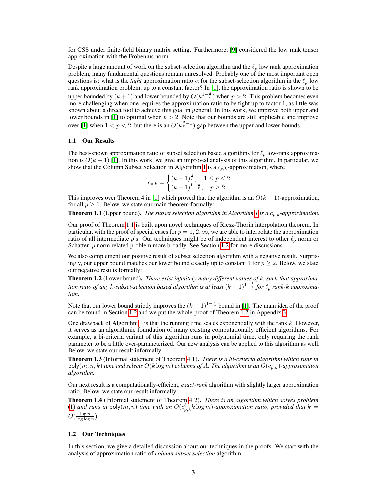for CSS under finite-field binary matrix setting. Furthermore, [9] considered the low rank tensor approximation with the Frobenius norm.

Despite a large amount of work on the subset-selection algorithm and the  $\ell_p$  low rank approximation problem, many fundamental questions remain unresolved. Probably one of the most important open questions is: what is the *tight* approximation ratio  $\alpha$  for the subset-selection algorithm in the  $\ell_p$  low rank approximation problem, up to a constant factor? In [1], the approximation ratio is shown to be upper bounded by  $(k+1)$  and lower bounded by  $O(k^{1-\frac{2}{p}})$  when  $p > 2$ . This problem becomes even more challenging when one requires the approximation ratio to be tight up to factor 1, as little was known about a direct tool to achieve this goal in general. In this work, we improve both upper and lower bounds in [1] to optimal when  $p > 2$ . Note that our bounds are still applicable and improve over [1] when  $1 < p < 2$ , but there is an  $O(k^{\frac{2}{p}-1})$  gap between the upper and lower bounds.

### 1.1 Our Results

The best-known approximation ratio of subset selection based algorithms for  $\ell_p$  low-rank approximation is  $O(k+1)$  [1]. In this work, we give an improved analysis of this algorithm. In particular, we show that the Column Subset Selection in Algorithm 1 is a  $c_{p,k}$ -approximation, where

$$
c_{p,k} = \begin{cases} (k+1)^{\frac{1}{p}}, & 1 \le p \le 2, \\ (k+1)^{1-\frac{1}{p}}, & p \ge 2. \end{cases}
$$

This improves over Theorem 4 in [1] which proved that the algorithm is an  $O(k + 1)$ -approximation, for all  $p \geq 1$ . Below, we state our main theorem formally:

**Theorem 1.1** (Upper bound). *The subset selection algorithm in Algorithm 1 is a*  $c_{p,k}$ -approximation.

Our proof of Theorem 1.1 is built upon novel techniques of Riesz-Thorin interpolation theorem. In particular, with the proof of special cases for  $p = 1, 2, \infty$ , we are able to interpolate the approximation ratio of all intermediate p's. Our techniques might be of independent interest to other  $\ell_p$  norm or Schatten-p norm related problem more broadly. See Section 1.2 for more discussions.

We also complement our positive result of subset selection algorithm with a negative result. Surprisingly, our upper bound matches our lower bound exactly up to constant 1 for  $p \geq 2$ . Below, we state our negative results formally:

Theorem 1.2 (Lower bound). *There exist infinitely many different values of* k*, such that approximation ratio of any k-subset-selection based algorithm is at least*  $(k + 1)^{1-\frac{1}{p}}$  *for*  $\ell_p$  *rank-k approximation.*

Note that our lower bound strictly improves the  $(k + 1)^{1-\frac{2}{p}}$  bound in [1]. The main idea of the proof can be found in Section 1.2 and we put the whole proof of Theorem 1.2 in Appendix 3.

One drawback of Algorithm 1 is that the running time scales exponentially with the rank  $k$ . However, it serves as an algorithmic foundation of many existing computationally efficient algorithms. For example, a bi-criteria variant of this algorithm runs in polynomial time, only requiring the rank parameter to be a little over-parameterized. Our new analysis can be applied to this algorithm as well. Below, we state our result informally:

Theorem 1.3 (Informal statement of Theorem 4.1). *There is a bi-criteria algorithm which runs in*  $poly(m, n, k)$  *time and selects*  $O(k \log m)$  *columns of A. The algorithm is an*  $O(c_{p,k})$ *-approximation algorithm.*

Our next result is a computationally-efficient, *exact-rank* algorithm with slightly larger approximation ratio. Below, we state our result informally:

Theorem 1.4 (Informal statement of Theorem 4.2). *There is an algorithm which solves problem* (1) and runs in  $\mathsf{poly}(m,n)$  time with an  $O(c_{p,k}^3 k \log m)$ *-approximation ratio, provided that*  $k =$  $O(\frac{\log n}{\log \log n}).$ 

### 1.2 Our Techniques

In this section, we give a detailed discussion about our techniques in the proofs. We start with the analysis of approximation ratio of *column subset selection* algorithm.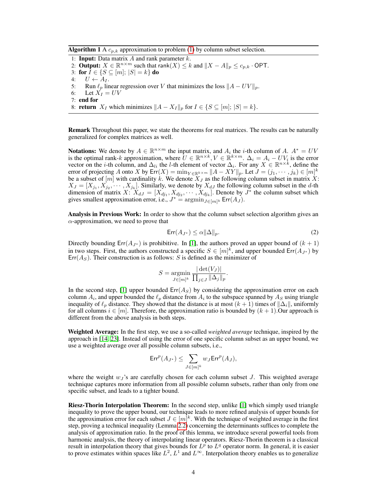Algorithm 1 A  $c_{p,k}$  approximation to problem (1) by column subset selection.

1: **Input:** Data matrix  $A$  and rank parameter  $k$ . 2: **Output:**  $X \in \mathbb{R}^{n \times m}$  such that rank $(X) \leq k$  and  $||X - A||_p \leq c_{p,k}$ . OPT. 3: for  $\overline{I} \in \{S \subseteq [m]; |S| = k\}$  do 4:  $U \leftarrow A_I$ .<br>5: Run  $\ell_n$  lin Run  $\ell_p$  linear regression over V that minimizes the loss  $||A - UV||_p$ . 6: Let  $\hat{X_I} = UV$ 7: end for 8: **return**  $X_I$  which minimizes  $||A - X_I||_p$  for  $I \in \{S \subseteq [m]; |S| = k\}.$ 

Remark Throughout this paper, we state the theorems for real matrices. The results can be naturally generalized for complex matrices as well.

**Notations:** We denote by  $A \in \mathbb{R}^{n \times m}$  the input matrix, and  $A_i$  the *i*-th column of A.  $A^* = UV$ is the optimal rank-k approximation, where  $U \in \mathbb{R}^{n \times k}$ ,  $V \in \mathbb{R}^{k \times m}$ .  $\Delta_i = A_i - UV_i$  is the error vector on the *i*-th column, and  $\Delta_{li}$  the *l*-th element of vector  $\Delta_i$ . For any  $X \in \mathbb{R}^{n \times k}$ , define the error of projecting A onto X by  $\mathsf{Err}(X) = \min_{Y \in \mathbb{R}^{k \times m}} \|A - XY\|_p$ . Let  $J = (j_1, \dots, j_k) \in [m]^k$ be a subset of  $[m]$  with cardinality k. We denote  $X_J$  as the following column subset in matrix X:  $X_J = [X_{j_1}, X_{j_2}, \cdots, X_{j_k}]$ . Similarly, we denote by  $X_{dJ}$  the following column subset in the d-th dimension of matrix  $X: X_{dJ} = [X_{dj_1}, X_{dj_2}, \cdots, X_{dj_k}]$ . Denote by  $J^*$  the column subset which gives smallest approximation error, i.e.,  $J^* = \operatorname{argmin}_{J \in [m]^k} \text{Err}(A_J)$ .

Analysis in Previous Work: In order to show that the column subset selection algorithm gives an  $\alpha$ -approximation, we need to prove that

$$
\mathsf{Err}(A_{J^*}) \le \alpha \|\Delta\|_p. \tag{2}
$$

Directly bounding Err( $A_{J*}$ ) is prohibitive. In [1], the authors proved an upper bound of  $(k + 1)$ in two steps. First, the authors constructed a specific  $S \in [m]^k$ , and upper bounded  $\text{Err}(A_{J^*})$  by  $Err(A<sub>S</sub>)$ . Their construction is as follows: S is defined as the minimizer of

$$
S = \underset{J \in [m]^k}{\operatorname{argmin}} \frac{|\det(V_J)|}{\prod_{j \in J} ||\Delta_j||_p}.
$$

In the second step, [1] upper bounded  $Err(A<sub>S</sub>)$  by considering the approximation error on each column  $A_i$ , and upper bounded the  $\ell_p$  distance from  $A_i$  to the subspace spanned by  $A_S$  using triangle inequality of  $\ell_p$  distance. They showed that the distance is at most  $(k + 1)$  times of  $||\Delta_i||$ , uniformly for all columns  $i \in [m]$ . Therefore, the approximation ratio is bounded by  $(k + 1)$ . Our approach is different from the above analysis in both steps.

Weighted Average: In the first step, we use a so-called *weighted average* technique, inspired by the approach in [14, 23]. Instead of using the error of one specific column subset as an upper bound, we use a weighted average over all possible column subsets, i.e.,

$$
\text{Err}^p(A_{J^*}) \leq \sum_{J \in [m]^k} w_J \text{Err}^p(A_J),
$$

where the weight  $w_j$ 's are carefully chosen for each column subset J. This weighted average technique captures more information from all possible column subsets, rather than only from one specific subset, and leads to a tighter bound.

Riesz-Thorin Interpolation Theorem: In the second step, unlike [1] which simply used triangle inequality to prove the upper bound, our technique leads to more refined analysis of upper bounds for the approximation error for each subset  $J \in [m]^k$ . With the technique of weighted average in the first step, proving a technical inequality (Lemma 2.2) concerning the determinants suffices to complete the analysis of approximation ratio. In the proof of this lemma, we introduce several powerful tools from harmonic analysis, the theory of interpolating linear operators. Riesz-Thorin theorem is a classical result in interpolation theory that gives bounds for  $L^p$  to  $L^q$  operator norm. In general, it is easier to prove estimates within spaces like  $L^2$ ,  $L^1$  and  $L^\infty$ . Interpolation theory enables us to generalize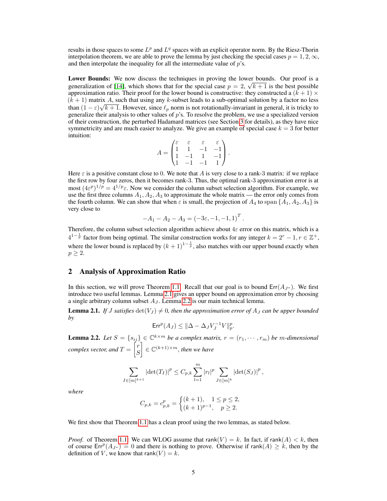results in those spaces to some  $L^p$  and  $L^q$  spaces with an explicit operator norm. By the Riesz-Thorin interpolation theorem, we are able to prove the lemma by just checking the special cases  $p = 1, 2, \infty$ , and then interpolate the inequality for all the intermediate value of  $p$ 's.

Lower Bounds: We now discuss the techniques in proving the lower bounds. Our proof is a generalization of [14], which shows that for the special case  $p = 2$ ,  $\sqrt{k+1}$  is the best possible approximation ratio. Their proof for the lower bound is constructive: they constructed a  $(k + 1) \times$  $(k + 1)$  matrix A, such that using any k-subset leads to a sub-optimal solution by a factor no less than  $(1 - \varepsilon)\sqrt{k+1}$ . However, since  $\ell_p$  norm is not rotationally-invariant in general, it is tricky to generalize their analysis to other values of  $p$ 's. To resolve the problem, we use a specialized version of their construction, the perturbed Hadamard matrices (see Section 3 for details), as they have nice symmetricity and are much easier to analyze. We give an example of special case  $k = 3$  for better intuition:

$$
A = \begin{pmatrix} \varepsilon & \varepsilon & \varepsilon & \varepsilon \\ 1 & 1 & -1 & -1 \\ 1 & -1 & 1 & -1 \\ 1 & -1 & -1 & 1 \end{pmatrix}.
$$

Here  $\varepsilon$  is a positive constant close to 0. We note that A is very close to a rank-3 matrix: if we replace the first row by four zeros, then it becomes rank-3. Thus, the optimal rank-3 approximation error is at most  $(4\varepsilon^p)^{1/p} = 4^{1/p}\varepsilon$ . Now we consider the column subset selection algorithm. For example, we use the first three columns  $A_1$ ,  $A_2$ ,  $A_3$  to approximate the whole matrix — the error only comes from the fourth column. We can show that when  $\varepsilon$  is small, the projection of  $A_4$  to span  $\{A_1, A_2, A_3\}$  is very close to

$$
-A_1 - A_2 - A_3 = (-3\varepsilon, -1, -1, 1)^T.
$$

Therefore, the column subset selection algorithm achieve about  $4\varepsilon$  error on this matrix, which is a  $4^{1-\frac{1}{p}}$  factor from being optimal. The similar construction works for any integer  $k = 2^r - 1, r \in \mathbb{Z}^+$ , where the lower bound is replaced by  $(k + 1)^{1 - \frac{1}{p}}$ , also matches with our upper bound exactly when  $p \geq 2$ .

## 2 Analysis of Approximation Ratio

In this section, we will prove Theorem 1.1. Recall that our goal is to bound  $Err(A_{J^*})$ . We first introduce two useful lemmas. Lemma 2.1 gives an upper bound on approximation error by choosing a single arbitrary column subset  $A_J$ . Lemma 2.2 is our main technical lemma.

**Lemma 2.1.** *If J satisfies*  $det(V<sub>J</sub>) \neq 0$ *, then the approximation error of*  $A<sub>J</sub>$  *can be upper bounded by*

$$
\text{Err}^p(A_J) \le ||\Delta - \Delta_J V_J^{-1} V||_p^p.
$$

**Lemma 2.2.** Let  $S = \{s_{ij}\} \in \mathbb{C}^{k \times m}$  be a complex matrix,  $r = (r_1, \dots, r_m)$  be m-dimensional *complex vector, and*  $T = \begin{bmatrix} r \\ c \end{bmatrix}$ S  $\Big] \in \mathbb{C}^{(k+1)\times m}$ , then we have

$$
\sum_{I \in [m]^{k+1}} \left| \det(T_I) \right|^p \leq C_{p,k} \sum_{l=1}^m |r_l|^p \sum_{J \in [m]^{k}} \left| \det(S_J) \right|^p,
$$

*where*

$$
C_{p,k} = c_{p,k}^p = \begin{cases} (k+1), & 1 \le p \le 2, \\ (k+1)^{p-1}, & p \ge 2. \end{cases}
$$

We first show that Theorem 1.1 has a clean proof using the two lemmas, as stated below.

*Proof.* of Theorem 1.1: We can WLOG assume that rank(V) = k. In fact, if rank(A) < k, then of course  $Err^p(A_{J^*}) = 0$  and there is nothing to prove. Otherwise if rank $(A) \geq k$ , then by the definition of V, we know that rank(V) = k.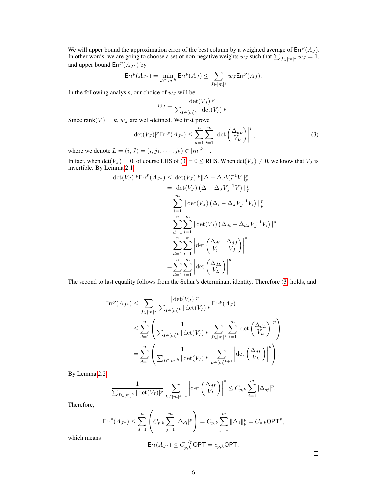We will upper bound the approximation error of the best column by a weighted average of  $Err^p(A_J)$ . In other words, we are going to choose a set of non-negative weights  $w_J$  such that  $\sum_{J \in [m]^k} w_J = 1$ , and upper bound  $Err^p(A_{J^*})$  by

$$
\mathrm{Err}^p(A_{J^*})=\min_{J\in [m]^k}\mathrm{Err}^p(A_J)\leq \sum_{J\in [m]^k}w_J\mathrm{Err}^p(A_J).
$$

In the following analysis, our choice of  $w_J$  will be

$$
w_J = \frac{|\det(V_J)|^p}{\sum_{I \in [m]^k} |\det(V_I)|^p}.
$$

Since rank $(V) = k$ ,  $w_J$  are well-defined. We first prove

$$
|\det(V_J)|^p \text{Err}^p(A_{J^*}) \le \sum_{d=1}^n \sum_{i=1}^m \left| \det \left( \frac{\Delta_{dL}}{V_L} \right) \right|^p,
$$
\n(3)

where we denote  $L = (i, J) = (i, j_1, \dots, j_k) \in [m]^{k+1}$ .

In fact, when det( $V_J$ ) = 0, of course LHS of (3) = 0  $\le$  RHS. When det( $V_J$ )  $\neq$  0, we know that  $V_J$  is invertible. By Lemma 2.1,

$$
|\det(V_J)|^p \text{Err}^p(A_{J^*}) \leq |\det(V_J)|^p \|\Delta - \Delta_J V_J^{-1}V\|_p^p
$$
  
\n
$$
= |\det(V_J) (\Delta - \Delta_J V_J^{-1}V) \|_p^p
$$
  
\n
$$
= \sum_{i=1}^m ||\det(V_J) (\Delta_i - \Delta_J V_J^{-1}V_i) \|_p^p
$$
  
\n
$$
= \sum_{d=1}^n \sum_{i=1}^m |\det(V_J) (\Delta_{di} - \Delta_{dJ} V_J^{-1}V_i) |_p^p
$$
  
\n
$$
= \sum_{d=1}^n \sum_{i=1}^m |\det(\begin{array}{cc} \Delta_{di} & \Delta_{dJ} \\ V_i & V_J \end{array})|^p
$$
  
\n
$$
= \sum_{d=1}^n \sum_{i=1}^m |\det(\begin{array}{c} \Delta_{dL} \\ V_L \end{array})|^p.
$$

The second to last equality follows from the Schur's determinant identity. Therefore (3) holds, and

$$
\mathsf{Err}^p(A_{J^*}) \leq \sum_{J \in [m]^k} \frac{|\det(V_J)|^p}{\sum_{I \in [m]^k} |\det(V_I)|^p} \mathsf{Err}^p(A_J)
$$
  

$$
\leq \sum_{d=1}^n \left( \frac{1}{\sum_{I \in [m]^k} |\det(V_I)|^p} \sum_{J \in [m]^k} \sum_{i=1}^m \left| \det \begin{pmatrix} \Delta_{dL} \\ V_L \end{pmatrix} \right|^p \right)
$$
  

$$
= \sum_{d=1}^n \left( \frac{1}{\sum_{I \in [m]^k} |\det(V_I)|^p} \sum_{L \in [m]^{k+1}} \left| \det \begin{pmatrix} \Delta_{dL} \\ V_L \end{pmatrix} \right|^p \right).
$$

By Lemma 2.2,

$$
\frac{1}{\sum_{I\in[m]^k}|\det(V_I)|^p}\sum_{L\in[m]^{k+1}}\left|\det\left(\frac{\Delta_{dL}}{V_L}\right)\right|^p\leq C_{p,k}\sum_{j=1}^m|\Delta_{dj}|^p.
$$

Therefore,

$$
\text{Err}^p(A_{J^*}) \le \sum_{d=1}^n \left( C_{p,k} \sum_{j=1}^m |\Delta_{dj}|^p \right) = C_{p,k} \sum_{j=1}^m ||\Delta_j||_p^p = C_{p,k} \text{OPT}^p
$$

which means

$$
Err(A_{J^*}) \le C_{p,k}^{1/p} \textsf{OPT} = c_{p,k} \textsf{OPT}.
$$

 $\Box$ 

,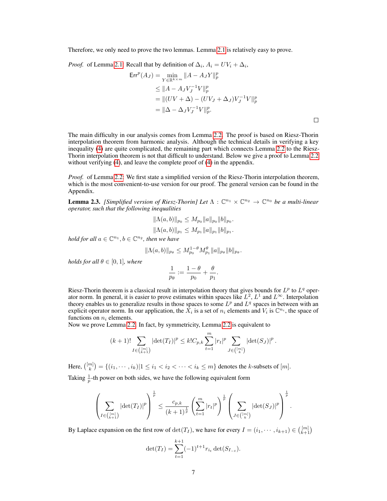Therefore, we only need to prove the two lemmas. Lemma 2.1 is relatively easy to prove.

*Proof.* of Lemma 2.1: Recall that by definition of  $\Delta_i$ ,  $A_i = UV_i + \Delta_i$ ,

$$
\begin{aligned} \text{Err}^p(A_J) &= \min_{Y \in \mathbb{R}^{k \times m}} \|A - A_J Y\|_p^p \\ &\le \|A - A_J V_J^{-1} V\|_p^p \\ &= \|(UV + \Delta) - (UV_J + \Delta_J) V_J^{-1} V\|_p^p \\ &= \|\Delta - \Delta_J V_J^{-1} V\|_p^p. \end{aligned}
$$

 $\Box$ 

The main difficulty in our analysis comes from Lemma 2.2. The proof is based on Riesz-Thorin interpolation theorem from harmonic analysis. Although the technical details in verifying a key inequality (4) are quite complicated, the remaining part which connects Lemma 2.2 to the Riesz-Thorin interpolation theorem is not that difficult to understand. Below we give a proof to Lemma 2.2 without verifying (4), and leave the complete proof of (4) in the appendix.

*Proof.* of Lemma 2.2: We first state a simplified version of the Riesz-Thorin interpolation theorem, which is the most convenient-to-use version for our proof. The general version can be found in the Appendix.

**Lemma 2.3.** *[Simplified version of Riesz-Thorin] Let*  $\Lambda : \mathbb{C}^{n_1} \times \mathbb{C}^{n_2} \to \mathbb{C}^{n_0}$  *be a multi-linear operator, such that the following inequalities*

$$
\|\Lambda(a,b)\|_{p_0} \le M_{p_0} \|a\|_{p_0} \|b\|_{p_0}.
$$
  

$$
\|\Lambda(a,b)\|_{p_1} \le M_{p_1} \|a\|_{p_1} \|b\|_{p_1}.
$$

*hold for all*  $a \in \mathbb{C}^{n_1}$ ,  $b \in \mathbb{C}^{n_2}$ , then we have

$$
\|\Lambda(a,b)\|_{p_{\theta}} \le M_{p_0}^{1-\theta} M_{p_1}^{\theta} \|a\|_{p_{\theta}} \|b\|_{p_{\theta}}.
$$

*holds for all*  $\theta \in [0, 1]$ *, where* 

$$
\frac{1}{p_{\theta}} := \frac{1-\theta}{p_0} + \frac{\theta}{p_1}.
$$

Riesz-Thorin theorem is a classical result in interpolation theory that gives bounds for  $L^p$  to  $L^q$  operator norm. In general, it is easier to prove estimates within spaces like  $L^2$ ,  $L^1$  and  $L^\infty$ . Interpolation theory enables us to generalize results in those spaces to some  $L^p$  and  $L^q$  spaces in between with an explicit operator norm. In our application, the  $\hat{X}_i$  is a set of  $n_i$  elements and  $V_i$  is  $\mathbb{C}^{n_i}$ , the space of functions on  $n_i$  elements.

Now we prove Lemma 2.2. In fact, by symmetricity, Lemma 2.2 is equivalent to

$$
(k+1)! \sum_{I \in \binom{[m]}{k+1}} |\text{det}(T_I)|^p \leq k! C_{p,k} \sum_{t=1}^m |r_t|^p \sum_{J \in \binom{[m]}{k}} |\text{det}(S_J)|^p.
$$

Here,  $\binom{[m]}{k} = \{(i_1, \cdots, i_k)|1 \leq i_1 < i_2 < \cdots < i_k \leq m\}$  denotes the *k*-subsets of  $[m]$ . Taking  $\frac{1}{p}$ -th power on both sides, we have the following equivalent form

$$
\left(\sum_{I \in \binom{[m]}{k+1}} \left| \det(T_I) \right|^p \right)^{\frac{1}{p}} \leq \frac{c_{p,k}}{(k+1)^{\frac{1}{p}}} \left(\sum_{t=1}^m |r_t|^p \right)^{\frac{1}{p}} \left(\sum_{J \in \binom{[m]}{k}} \left| \det(S_J) \right|^p \right)^{\frac{1}{p}}.
$$

By Laplace expansion on the first row of  $\det(T_I)$ , we have for every  $I = (i_1, \dots, i_{k+1}) \in \binom{[m]}{k+1}$ 

$$
\det(T_I) = \sum_{t=1}^{k+1} (-1)^{t+1} r_{i_t} \det(S_{I_{-t}}).
$$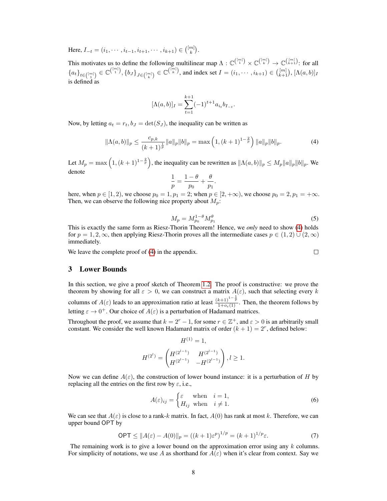Here,  $I_{-t} = (i_1, \dots, i_{t-1}, i_{t+1}, \dots, i_{k+1}) \in \binom{[m]}{k}$ .

This motivates us to define the following multilinear map  $\Lambda: \mathbb{C}^{(\binom{[m]}{1})} \times \mathbb{C}^{(\binom{[m]}{k})} \to \mathbb{C}^{(\binom{[m]}{k+1})}$  for all  ${a_t}_{t \in \binom{[m]}{1}} \in \mathbb{C}^{\binom{[m]}{1}}, {b_J}_{J \in \binom{[m]}{k}} \in \mathbb{C}^{\binom{[m]}{k}}, \text{ and index set } I = (i_1, \cdots, i_{k+1}) \in \binom{[m]}{k+1}, [\Lambda(a, b)]_I$ is defined as

$$
[\Lambda(a,b)]_I = \sum_{t=1}^{k+1} (-1)^{t+1} a_{i_t} b_{I_{-t}}.
$$

Now, by letting  $a_t = r_t, b_t = \det(S_t)$ , the inequality can be written as

$$
\|\Lambda(a,b)\|_{p} \le \frac{c_{p,k}}{(k+1)^{\frac{1}{p}}}\|a\|_{p}\|b\|_{p} = \max\left(1, (k+1)^{1-\frac{2}{p}}\right)\|a\|_{p}\|b\|_{p}.
$$
 (4)

Let  $M_p = \max\left(1, (k+1)^{1-\frac{2}{p}}\right)$ , the inequality can be rewritten as  $\|\Lambda(a, b)\|_p \le M_p \|a\|_p \|b\|_p$ . We denote

$$
\frac{1}{p} = \frac{1-\theta}{p_0} + \frac{\theta}{p_1}.
$$

here, when  $p \in [1, 2)$ , we choose  $p_0 = 1, p_1 = 2$ ; when  $p \in [2, +\infty)$ , we choose  $p_0 = 2, p_1 = +\infty$ . Then, we can observe the following nice property about  $M_p$ :

$$
M_p = M_{p_0}^{1-\theta} M_{p_1}^{\theta} \tag{5}
$$

This is exactly the same form as Riesz-Thorin Theorem! Hence, we *only* need to show (4) holds for  $p = 1, 2, \infty$ , then applying Riesz-Thorin proves all the intermediate cases  $p \in (1, 2) \cup (2, \infty)$ immediately.

We leave the complete proof of  $(4)$  in the appendix.

3 Lower Bounds

In this section, we give a proof sketch of Theorem 1.2. The proof is constructive: we prove the theorem by showing for all  $\varepsilon > 0$ , we can construct a matrix  $A(\varepsilon)$ , such that selecting every k columns of  $A(\varepsilon)$  leads to an approximation ratio at least  $\frac{(k+1)^{1-\frac{1}{p}}}{1+o_{\varepsilon}(1)}$ . Then, the theorem follows by letting  $\varepsilon \to 0^+$ . Our choice of  $A(\varepsilon)$  is a perturbation of Hadamard matrices.

Throughout the proof, we assume that  $k = 2<sup>r</sup> - 1$ , for some  $r \in \mathbb{Z}^+$ , and  $\varepsilon > 0$  is an arbitrarily small constant. We consider the well known Hadamard matrix of order  $(k + 1) = 2<sup>r</sup>$ , defined below:

 $tr(1)$ 

$$
H^{(1)} = 1,
$$
  

$$
H^{(2^{l})} = \begin{pmatrix} H^{(2^{l-1})} & H^{(2^{l-1})} \\ H^{(2^{l-1})} & -H^{(2^{l-1})} \end{pmatrix}, l \ge 1.
$$

Now we can define  $A(\varepsilon)$ , the construction of lower bound instance: it is a perturbation of H by replacing all the entries on the first row by  $\varepsilon$ , i.e.,

$$
A(\varepsilon)_{ij} = \begin{cases} \varepsilon & \text{when } i = 1, \\ H_{ij} & \text{when } i \neq 1. \end{cases}
$$
 (6)

We can see that  $A(\varepsilon)$  is close to a rank-k matrix. In fact,  $A(0)$  has rank at most k. Therefore, we can upper bound OPT by

$$
OPT \le \|A(\varepsilon) - A(0)\|_{p} = ((k+1)\varepsilon^{p})^{1/p} = (k+1)^{1/p}\varepsilon.
$$
 (7)

The remaining work is to give a lower bound on the approximation error using any  $k$  columns. For simplicity of notations, we use A as shorthand for  $A(\varepsilon)$  when it's clear from context. Say we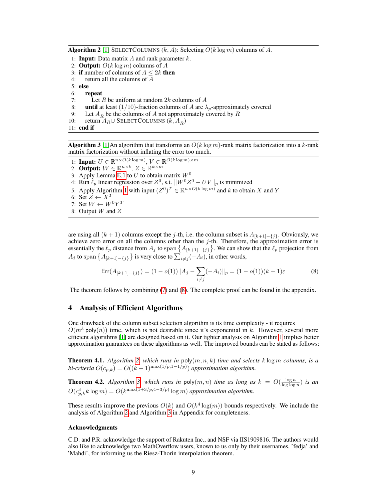**Algorithm 2** [1] SELECTCOLUMNS  $(k, A)$ : Selecting  $O(k \log m)$  columns of A.

- 1: **Input:** Data matrix  $A$  and rank parameter  $k$ .
- 2: **Output:**  $O(k \log m)$  columns of A
- 3: if number of columns of  $A \leq 2k$  then
- 4: return all the columns of A

5: else

- 6: repeat
- 7: Let R be uniform at random  $2k$  columns of A
- 8: until at least (1/10)-fraction columns of A are  $\lambda_p$ -approximately covered 9: Let  $A_{\overline{P}}$  be the columns of A not approximately covered by R
- 9: Let  $A_{\overline{R}}$  be the columns of A not approximately covered by R
- 10: return  $A_R$ ∪ SELECTCOLUMNS  $(k, A_{\overline{R}})$
- 11: end if

**Algorithm 3** [1]An algorithm that transforms an  $O(k \log m)$ -rank matrix factorization into a k-rank matrix factorization without inflating the error too much.

- 1: **Input:**  $U \in \mathbb{R}^{n \times O(k \log m)}$ ,  $V \in \mathbb{R}^{O(k \log m) \times m}$
- 2: Output:  $W \in \mathbb{R}^{n \times k}$ ,  $Z \in \mathbb{R}^{k \times m}$
- 3: Apply Lemma E.1 to U to obtain matrix  $W^0$
- 4: Run  $\ell_p$  linear regression over  $Z^0$ , s.t.  $||W^0Z^0 UV||_p$  is minimized
- 5: Apply Algorithm 1 with input  $(Z^0)^T \in \mathbb{R}^{n \times O(k \log m)}$  and k to obtain X and Y
- 6: Set  $Z \leftarrow X^T$
- 7: Set  $W \leftarrow W^0 Y^T$
- 8: Output W and Z

are using all  $(k + 1)$  columns except the j-th, i.e. the column subset is  $A_{[k+1]-\{j\}}$ . Obviously, we achieve zero error on all the columns other than the  $j$ -th. Therefore, the approximation error is essentially the  $\ell_p$  distance from  $A_j$  to span  $\{A_{[k+1]-\{j\}}\}$ . We can show that the  $\ell_p$  projection from  $A_j$  to span  $\{A_{[k+1]-\{j\}}\}$  is very close to  $\sum_{i \neq j} (-A_i)$ , in other words,

$$
Err(A_{[k+1]-\{j\}}) = (1 - o(1)) \|A_j - \sum_{i \neq j} (-A_i)\|_p = (1 - o(1))(k+1)\varepsilon
$$
\n(8)

The theorem follows by combining (7) and (8). The complete proof can be found in the appendix.

## 4 Analysis of Efficient Algorithms

One drawback of the column subset selection algorithm is its time complexity - it requires  $O(m^k \text{poly}(n))$  time, which is not desirable since it's exponential in k. However, several more efficient algorithms [1] are designed based on it. Our tighter analysis on Algorithm 1 implies better approximation guarantees on these algorithms as well. The improved bounds can be stated as follows:

**Theorem 4.1.** *Algorithm 2, which runs in*  $poly(m, n, k)$  *time and selects*  $k \log m$  *columns, is a bi-criteria*  $O(c_{p,k}) = O((k+1)^{\max(1/p,1-1/p)})$  *approximation algorithm.* 

**Theorem 4.2.** Algorithm 3, which runs in  $poly(m, n)$  time as long as  $k = O(\frac{\log n}{\log \log n})$  is an  $O(c_{p,k}^3 k \log m) = O(k^{\max(1+3/p, 4-3/p)} \log m)$  approximation algorithm.

These results improve the previous  $O(k)$  and  $O(k^4 \log(m))$  bounds respectively. We include the analysis of Algorithm 2 and Algorithm 3 in Appendix for completeness.

#### Acknowledgments

C.D. and P.R. acknowledge the support of Rakuten Inc., and NSF via IIS1909816. The authors would also like to acknowledge two MathOverflow users, known to us only by their usernames, 'fedja' and 'Mahdi', for informing us the Riesz-Thorin interpolation theorem.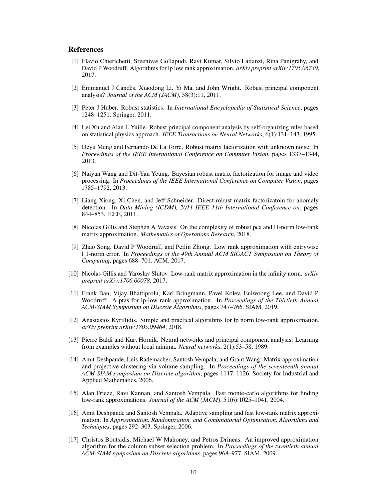## References

- [1] Flavio Chierichetti, Sreenivas Gollapudi, Ravi Kumar, Silvio Lattanzi, Rina Panigrahy, and David P Woodruff. Algorithms for lp low rank approximation. *arXiv preprint arXiv:1705.06730*, 2017.
- [2] Emmanuel J Candès, Xiaodong Li, Yi Ma, and John Wright. Robust principal component analysis? *Journal of the ACM (JACM)*, 58(3):11, 2011.
- [3] Peter J Huber. Robust statistics. In *International Encyclopedia of Statistical Science*, pages 1248–1251. Springer, 2011.
- [4] Lei Xu and Alan L Yuille. Robust principal component analysis by self-organizing rules based on statistical physics approach. *IEEE Transactions on Neural Networks*, 6(1):131–143, 1995.
- [5] Deyu Meng and Fernando De La Torre. Robust matrix factorization with unknown noise. In *Proceedings of the IEEE International Conference on Computer Vision*, pages 1337–1344, 2013.
- [6] Naiyan Wang and Dit-Yan Yeung. Bayesian robust matrix factorization for image and video processing. In *Proceedings of the IEEE International Conference on Computer Vision*, pages 1785–1792, 2013.
- [7] Liang Xiong, Xi Chen, and Jeff Schneider. Direct robust matrix factorizatoin for anomaly detection. In *Data Mining (ICDM), 2011 IEEE 11th International Conference on*, pages 844–853. IEEE, 2011.
- [8] Nicolas Gillis and Stephen A Vavasis. On the complexity of robust pca and l1-norm low-rank matrix approximation. *Mathematics of Operations Research*, 2018.
- [9] Zhao Song, David P Woodruff, and Peilin Zhong. Low rank approximation with entrywise l 1-norm error. In *Proceedings of the 49th Annual ACM SIGACT Symposium on Theory of Computing*, pages 688–701. ACM, 2017.
- [10] Nicolas Gillis and Yaroslav Shitov. Low-rank matrix approximation in the infinity norm. *arXiv preprint arXiv:1706.00078*, 2017.
- [11] Frank Ban, Vijay Bhattiprolu, Karl Bringmann, Pavel Kolev, Euiwoong Lee, and David P Woodruff. A ptas for lp-low rank approximation. In *Proceedings of the Thirtieth Annual ACM-SIAM Symposium on Discrete Algorithms*, pages 747–766. SIAM, 2019.
- [12] Anastasios Kyrillidis. Simple and practical algorithms for lp norm low-rank approximation. *arXiv preprint arXiv:1805.09464*, 2018.
- [13] Pierre Baldi and Kurt Hornik. Neural networks and principal component analysis: Learning from examples without local minima. *Neural networks*, 2(1):53–58, 1989.
- [14] Amit Deshpande, Luis Rademacher, Santosh Vempala, and Grant Wang. Matrix approximation and projective clustering via volume sampling. In *Proceedings of the seventeenth annual ACM-SIAM symposium on Discrete algorithm*, pages 1117–1126. Society for Industrial and Applied Mathematics, 2006.
- [15] Alan Frieze, Ravi Kannan, and Santosh Vempala. Fast monte-carlo algorithms for finding low-rank approximations. *Journal of the ACM (JACM)*, 51(6):1025–1041, 2004.
- [16] Amit Deshpande and Santosh Vempala. Adaptive sampling and fast low-rank matrix approximation. In *Approximation, Randomization, and Combinatorial Optimization. Algorithms and Techniques*, pages 292–303. Springer, 2006.
- [17] Christos Boutsidis, Michael W Mahoney, and Petros Drineas. An improved approximation algorithm for the column subset selection problem. In *Proceedings of the twentieth annual ACM-SIAM symposium on Discrete algorithms*, pages 968–977. SIAM, 2009.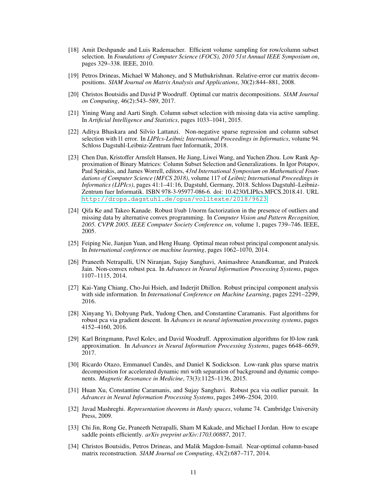- [18] Amit Deshpande and Luis Rademacher. Efficient volume sampling for row/column subset selection. In *Foundations of Computer Science (FOCS), 2010 51st Annual IEEE Symposium on*, pages 329–338. IEEE, 2010.
- [19] Petros Drineas, Michael W Mahoney, and S Muthukrishnan. Relative-error cur matrix decompositions. *SIAM Journal on Matrix Analysis and Applications*, 30(2):844–881, 2008.
- [20] Christos Boutsidis and David P Woodruff. Optimal cur matrix decompositions. *SIAM Journal on Computing*, 46(2):543–589, 2017.
- [21] Yining Wang and Aarti Singh. Column subset selection with missing data via active sampling. In *Artificial Intelligence and Statistics*, pages 1033–1041, 2015.
- [22] Aditya Bhaskara and Silvio Lattanzi. Non-negative sparse regression and column subset selection with l1 error. In *LIPIcs-Leibniz International Proceedings in Informatics*, volume 94. Schloss Dagstuhl-Leibniz-Zentrum fuer Informatik, 2018.
- [23] Chen Dan, Kristoffer Arnsfelt Hansen, He Jiang, Liwei Wang, and Yuchen Zhou. Low Rank Approximation of Binary Matrices: Column Subset Selection and Generalizations. In Igor Potapov, Paul Spirakis, and James Worrell, editors, *43rd International Symposium on Mathematical Foundations of Computer Science (MFCS 2018)*, volume 117 of *Leibniz International Proceedings in Informatics (LIPIcs)*, pages 41:1–41:16, Dagstuhl, Germany, 2018. Schloss Dagstuhl–Leibniz-Zentrum fuer Informatik. ISBN 978-3-95977-086-6. doi: 10.4230/LIPIcs.MFCS.2018.41. URL <http://drops.dagstuhl.de/opus/volltexte/2018/9623>.
- [24] Qifa Ke and Takeo Kanade. Robust l/sub 1/norm factorization in the presence of outliers and missing data by alternative convex programming. In *Computer Vision and Pattern Recognition, 2005. CVPR 2005. IEEE Computer Society Conference on*, volume 1, pages 739–746. IEEE, 2005.
- [25] Feiping Nie, Jianjun Yuan, and Heng Huang. Optimal mean robust principal component analysis. In *International conference on machine learning*, pages 1062–1070, 2014.
- [26] Praneeth Netrapalli, UN Niranjan, Sujay Sanghavi, Animashree Anandkumar, and Prateek Jain. Non-convex robust pca. In *Advances in Neural Information Processing Systems*, pages 1107–1115, 2014.
- [27] Kai-Yang Chiang, Cho-Jui Hsieh, and Inderjit Dhillon. Robust principal component analysis with side information. In *International Conference on Machine Learning*, pages 2291–2299, 2016.
- [28] Xinyang Yi, Dohyung Park, Yudong Chen, and Constantine Caramanis. Fast algorithms for robust pca via gradient descent. In *Advances in neural information processing systems*, pages 4152–4160, 2016.
- [29] Karl Bringmann, Pavel Kolev, and David Woodruff. Approximation algorithms for l0-low rank approximation. In *Advances in Neural Information Processing Systems*, pages 6648–6659, 2017.
- [30] Ricardo Otazo, Emmanuel Candès, and Daniel K Sodickson. Low-rank plus sparse matrix decomposition for accelerated dynamic mri with separation of background and dynamic components. *Magnetic Resonance in Medicine*, 73(3):1125–1136, 2015.
- [31] Huan Xu, Constantine Caramanis, and Sujay Sanghavi. Robust pca via outlier pursuit. In *Advances in Neural Information Processing Systems*, pages 2496–2504, 2010.
- [32] Javad Mashreghi. *Representation theorems in Hardy spaces*, volume 74. Cambridge University Press, 2009.
- [33] Chi Jin, Rong Ge, Praneeth Netrapalli, Sham M Kakade, and Michael I Jordan. How to escape saddle points efficiently. *arXiv preprint arXiv:1703.00887*, 2017.
- [34] Christos Boutsidis, Petros Drineas, and Malik Magdon-Ismail. Near-optimal column-based matrix reconstruction. *SIAM Journal on Computing*, 43(2):687–717, 2014.